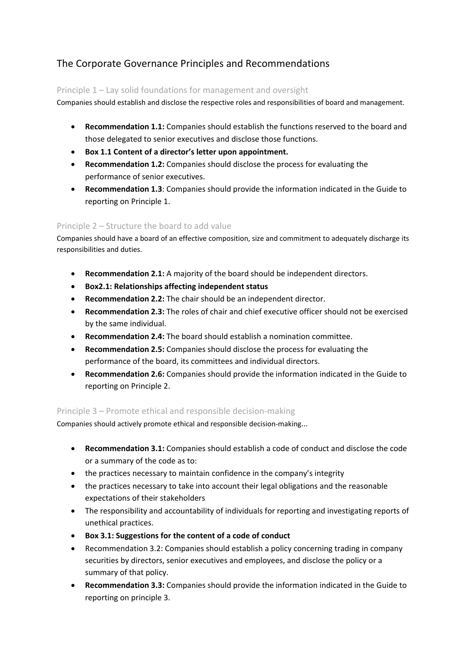# The Corporate Governance Principles and Recommendations

## Principle 1 – Lay solid foundations for management and oversight

Companies should establish and disclose the respective roles and responsibilities of board and management.

- **Recommendation 1.1:** Companies should establish the functions reserved to the board and those delegated to senior executives and disclose those functions.
- **Box 1.1 Content of a director's letter upon appointment.**
- **Recommendation 1.2:** Companies should disclose the process for evaluating the performance of senior executives.
- **Recommendation 1.3**: Companies should provide the information indicated in the Guide to reporting on Principle 1.

## Principle 2 – Structure the board to add value

Companies should have a board of an effective composition, size and commitment to adequately discharge its responsibilities and duties.

- **Recommendation 2.1:** A majority of the board should be independent directors.
- **Box2.1: Relationships affecting independent status**
- **Recommendation 2.2:** The chair should be an independent director.
- **Recommendation 2.3:** The roles of chair and chief executive officer should not be exercised by the same individual.
- **Recommendation 2.4:** The board should establish a nomination committee.
- **Recommendation 2.5:** Companies should disclose the process for evaluating the performance of the board, its committees and individual directors.
- **Recommendation 2.6:** Companies should provide the information indicated in the Guide to reporting on Principle 2.

### Principle 3 – Promote ethical and responsible decision‐making

Companies should actively promote ethical and responsible decision‐making...

- **Recommendation 3.1:** Companies should establish a code of conduct and disclose the code or a summary of the code as to:
- the practices necessary to maintain confidence in the company's integrity
- the practices necessary to take into account their legal obligations and the reasonable expectations of their stakeholders
- The responsibility and accountability of individuals for reporting and investigating reports of unethical practices.
- **Box 3.1: Suggestions for the content of a code of conduct**
- Recommendation 3.2: Companies should establish a policy concerning trading in company securities by directors, senior executives and employees, and disclose the policy or a summary of that policy.
- **Recommendation 3.3:** Companies should provide the information indicated in the Guide to reporting on principle 3.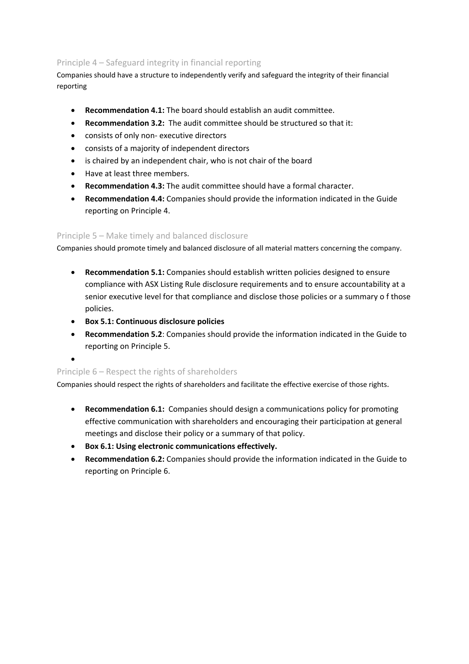# Principle 4 – Safeguard integrity in financial reporting

Companies should have a structure to independently verify and safeguard the integrity of their financial reporting

- **Recommendation 4.1:** The board should establish an audit committee.
- **Recommendation 3.2:** The audit committee should be structured so that it:
- consists of only non‐ executive directors
- consists of a majority of independent directors
- is chaired by an independent chair, who is not chair of the board
- Have at least three members.
- **Recommendation 4.3:** The audit committee should have a formal character.
- **Recommendation 4.4:** Companies should provide the information indicated in the Guide reporting on Principle 4.

## Principle 5 – Make timely and balanced disclosure

Companies should promote timely and balanced disclosure of all material matters concerning the company.

- **Recommendation 5.1:** Companies should establish written policies designed to ensure compliance with ASX Listing Rule disclosure requirements and to ensure accountability at a senior executive level for that compliance and disclose those policies or a summary o f those policies.
- **Box 5.1: Continuous disclosure policies**
- **Recommendation 5.2**: Companies should provide the information indicated in the Guide to reporting on Principle 5.

•

### Principle 6 – Respect the rights of shareholders

Companies should respect the rights of shareholders and facilitate the effective exercise of those rights.

- **Recommendation 6.1:** Companies should design a communications policy for promoting effective communication with shareholders and encouraging their participation at general meetings and disclose their policy or a summary of that policy.
- **Box 6.1: Using electronic communications effectively.**
- **Recommendation 6.2:** Companies should provide the information indicated in the Guide to reporting on Principle 6.